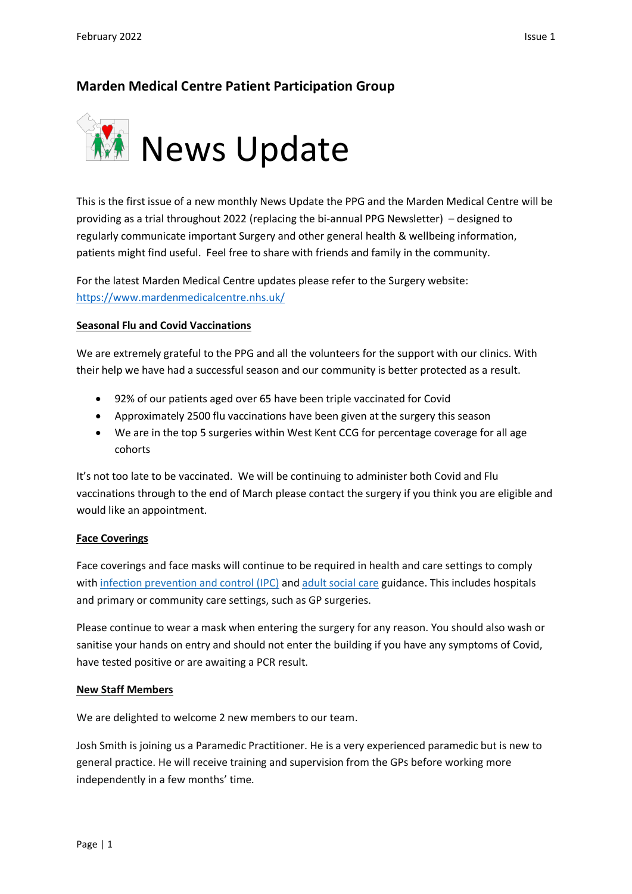# **Marden Medical Centre Patient Participation Group**



This is the first issue of a new monthly News Update the PPG and the Marden Medical Centre will be providing as a trial throughout 2022 (replacing the bi-annual PPG Newsletter) – designed to regularly communicate important Surgery and other general health & wellbeing information, patients might find useful. Feel free to share with friends and family in the community.

For the latest Marden Medical Centre updates please refer to the Surgery website: <https://www.mardenmedicalcentre.nhs.uk/>

# **Seasonal Flu and Covid Vaccinations**

We are extremely grateful to the PPG and all the volunteers for the support with our clinics. With their help we have had a successful season and our community is better protected as a result.

- 92% of our patients aged over 65 have been triple vaccinated for Covid
- Approximately 2500 flu vaccinations have been given at the surgery this season
- We are in the top 5 surgeries within West Kent CCG for percentage coverage for all age cohorts

It's not too late to be vaccinated. We will be continuing to administer both Covid and Flu vaccinations through to the end of March please contact the surgery if you think you are eligible and would like an appointment.

# **Face Coverings**

Face coverings and face masks will continue to be required in health and care settings to comply with [infection prevention and control \(IPC\)](https://www.gov.uk/government/publications/wuhan-novel-coronavirus-infection-prevention-and-control/covid-19-guidance-for-maintaining-services-within-health-and-care-settings-infection-prevention-and-control-recommendations) and [adult social care](https://www.gov.uk/government/collections/coronavirus-covid-19-social-care-guidance) guidance. This includes hospitals and primary or community care settings, such as GP surgeries.

Please continue to wear a mask when entering the surgery for any reason. You should also wash or sanitise your hands on entry and should not enter the building if you have any symptoms of Covid, have tested positive or are awaiting a PCR result.

# **New Staff Members**

We are delighted to welcome 2 new members to our team.

Josh Smith is joining us a Paramedic Practitioner. He is a very experienced paramedic but is new to general practice. He will receive training and supervision from the GPs before working more independently in a few months' time.